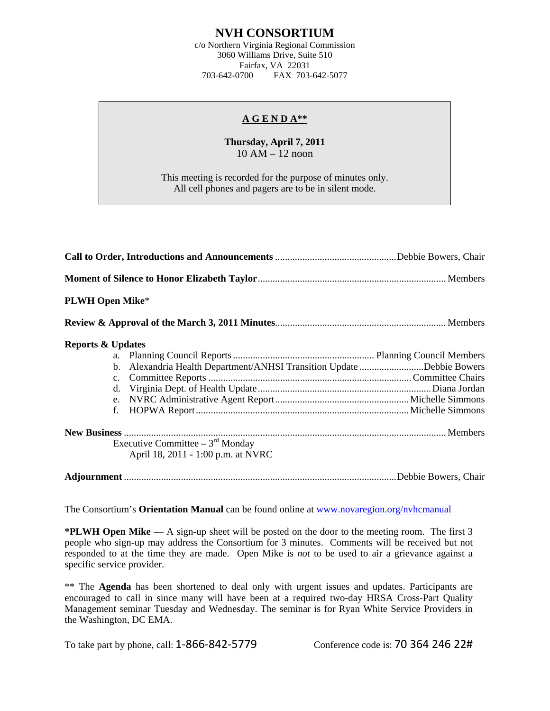## **NVH CONSORTIUM**

c/o Northern Virginia Regional Commission 3060 Williams Drive, Suite 510 Fairfax, VA 22031 703-642-0700 FAX 703-642-5077

## **A G E N D A\*\***

## **Thursday, April 7, 2011**  10 AM – 12 noon

This meeting is recorded for the purpose of minutes only. All cell phones and pagers are to be in silent mode.

| <b>PLWH Open Mike*</b>       |                                                                       |  |
|------------------------------|-----------------------------------------------------------------------|--|
|                              |                                                                       |  |
| <b>Reports &amp; Updates</b> |                                                                       |  |
|                              |                                                                       |  |
|                              | b. Alexandria Health Department/ANHSI Transition Update Debbie Bowers |  |
|                              |                                                                       |  |
| d.                           |                                                                       |  |
|                              |                                                                       |  |
| f.                           |                                                                       |  |
|                              |                                                                       |  |
|                              | Executive Committee $-3rd$ Monday                                     |  |
|                              | April 18, 2011 - 1:00 p.m. at NVRC                                    |  |
|                              |                                                                       |  |

The Consortium's **Orientation Manual** can be found online at [www.novaregion.org/nvhcmanual](http://www.novaregion.org/nvhcmanual)

**\*PLWH Open Mike** — A sign-up sheet will be posted on the door to the meeting room. The first 3 people who sign-up may address the Consortium for 3 minutes. Comments will be received but not responded to at the time they are made. Open Mike is *not* to be used to air a grievance against a specific service provider.

\*\* The **Agenda** has been shortened to deal only with urgent issues and updates. Participants are encouraged to call in since many will have been at a required two-day HRSA Cross-Part Quality Management seminar Tuesday and Wednesday. The seminar is for Ryan White Service Providers in the Washington, DC EMA.

To take part by phone, call: 1-866-842-5779 Conference code is: 70 364 246 22#